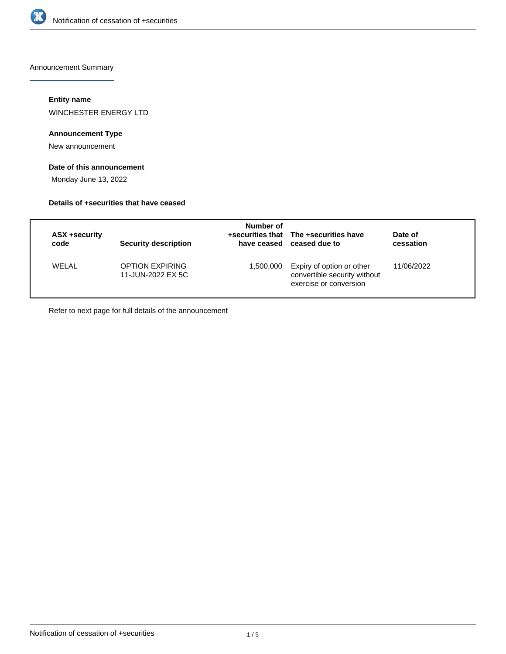

Announcement Summary

## **Entity name**

WINCHESTER ENERGY LTD

## **Announcement Type**

New announcement

## **Date of this announcement**

Monday June 13, 2022

#### **Details of +securities that have ceased**

| ASX +security<br>code | <b>Security description</b>                 | Number of | +securities that The +securities have<br>have ceased ceased due to                  | Date of<br>cessation |
|-----------------------|---------------------------------------------|-----------|-------------------------------------------------------------------------------------|----------------------|
| WELAL                 | <b>OPTION EXPIRING</b><br>11-JUN-2022 EX 5C | 1,500,000 | Expiry of option or other<br>convertible security without<br>exercise or conversion | 11/06/2022           |

Refer to next page for full details of the announcement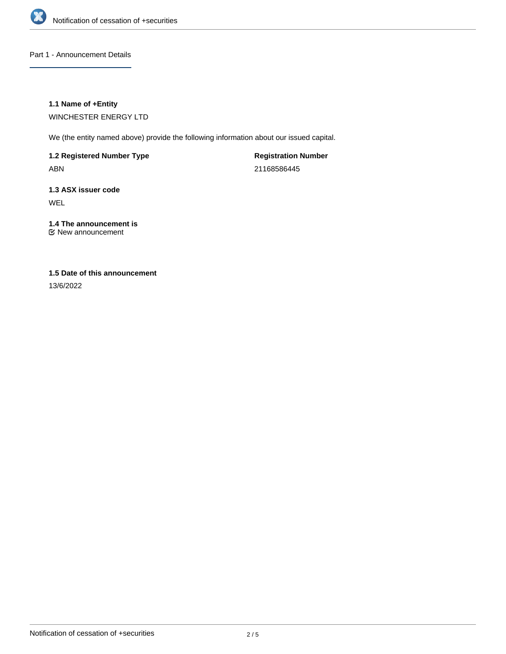

Part 1 - Announcement Details

## **1.1 Name of +Entity**

WINCHESTER ENERGY LTD

We (the entity named above) provide the following information about our issued capital.

**1.2 Registered Number Type**

ABN

**Registration Number** 21168586445

**1.3 ASX issuer code** WEL

#### **1.4 The announcement is** New announcement

## **1.5 Date of this announcement**

13/6/2022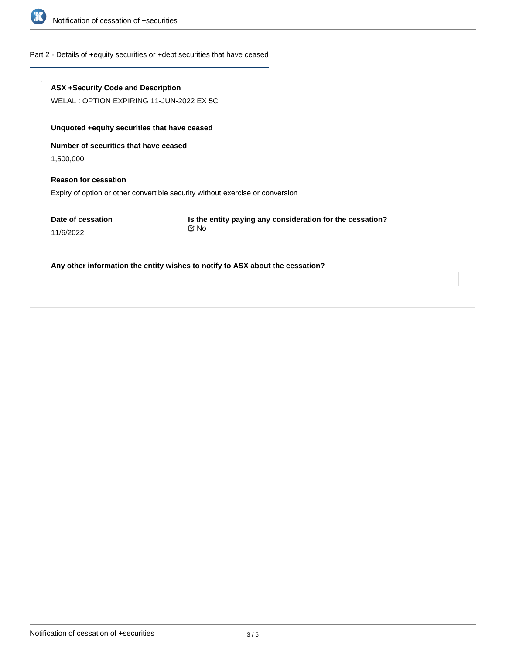

#### Part 2 - Details of +equity securities or +debt securities that have ceased

#### **ASX +Security Code and Description**

WELAL : OPTION EXPIRING 11-JUN-2022 EX 5C

## **Unquoted +equity securities that have ceased**

**Number of securities that have ceased**

1,500,000

11/6/2022

# **Reason for cessation** Expiry of option or other convertible security without exercise or conversion

**Date of cessation**

**Is the entity paying any consideration for the cessation?** No

#### **Any other information the entity wishes to notify to ASX about the cessation?**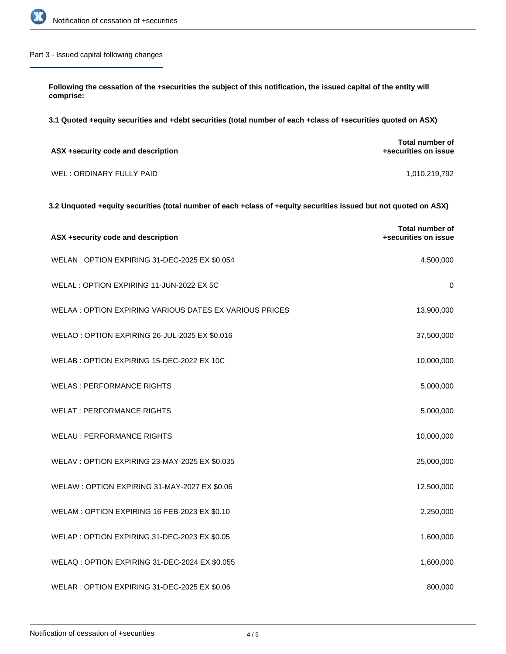

## Part 3 - Issued capital following changes

**Following the cessation of the +securities the subject of this notification, the issued capital of the entity will comprise:**

**3.1 Quoted +equity securities and +debt securities (total number of each +class of +securities quoted on ASX)**

| ASX +security code and description | Total number of<br>+securities on issue |
|------------------------------------|-----------------------------------------|
| WEL: ORDINARY FULLY PAID           | 1,010,219,792                           |

**3.2 Unquoted +equity securities (total number of each +class of +equity securities issued but not quoted on ASX)**

| ASX +security code and description                     | <b>Total number of</b><br>+securities on issue |
|--------------------------------------------------------|------------------------------------------------|
| WELAN: OPTION EXPIRING 31-DEC-2025 EX \$0.054          | 4,500,000                                      |
| WELAL: OPTION EXPIRING 11-JUN-2022 EX 5C               | $\mathbf 0$                                    |
| WELAA: OPTION EXPIRING VARIOUS DATES EX VARIOUS PRICES | 13,900,000                                     |
| WELAO: OPTION EXPIRING 26-JUL-2025 EX \$0.016          | 37,500,000                                     |
| WELAB: OPTION EXPIRING 15-DEC-2022 EX 10C              | 10,000,000                                     |
| <b>WELAS: PERFORMANCE RIGHTS</b>                       | 5,000,000                                      |
| <b>WELAT: PERFORMANCE RIGHTS</b>                       | 5,000,000                                      |
| <b>WELAU: PERFORMANCE RIGHTS</b>                       | 10,000,000                                     |
| WELAV: OPTION EXPIRING 23-MAY-2025 EX \$0.035          | 25,000,000                                     |
| WELAW: OPTION EXPIRING 31-MAY-2027 EX \$0.06           | 12,500,000                                     |
| WELAM: OPTION EXPIRING 16-FEB-2023 EX \$0.10           | 2,250,000                                      |
| WELAP: OPTION EXPIRING 31-DEC-2023 EX \$0.05           | 1,600,000                                      |
| WELAQ: OPTION EXPIRING 31-DEC-2024 EX \$0.055          | 1,600,000                                      |
| WELAR: OPTION EXPIRING 31-DEC-2025 EX \$0.06           | 800,000                                        |